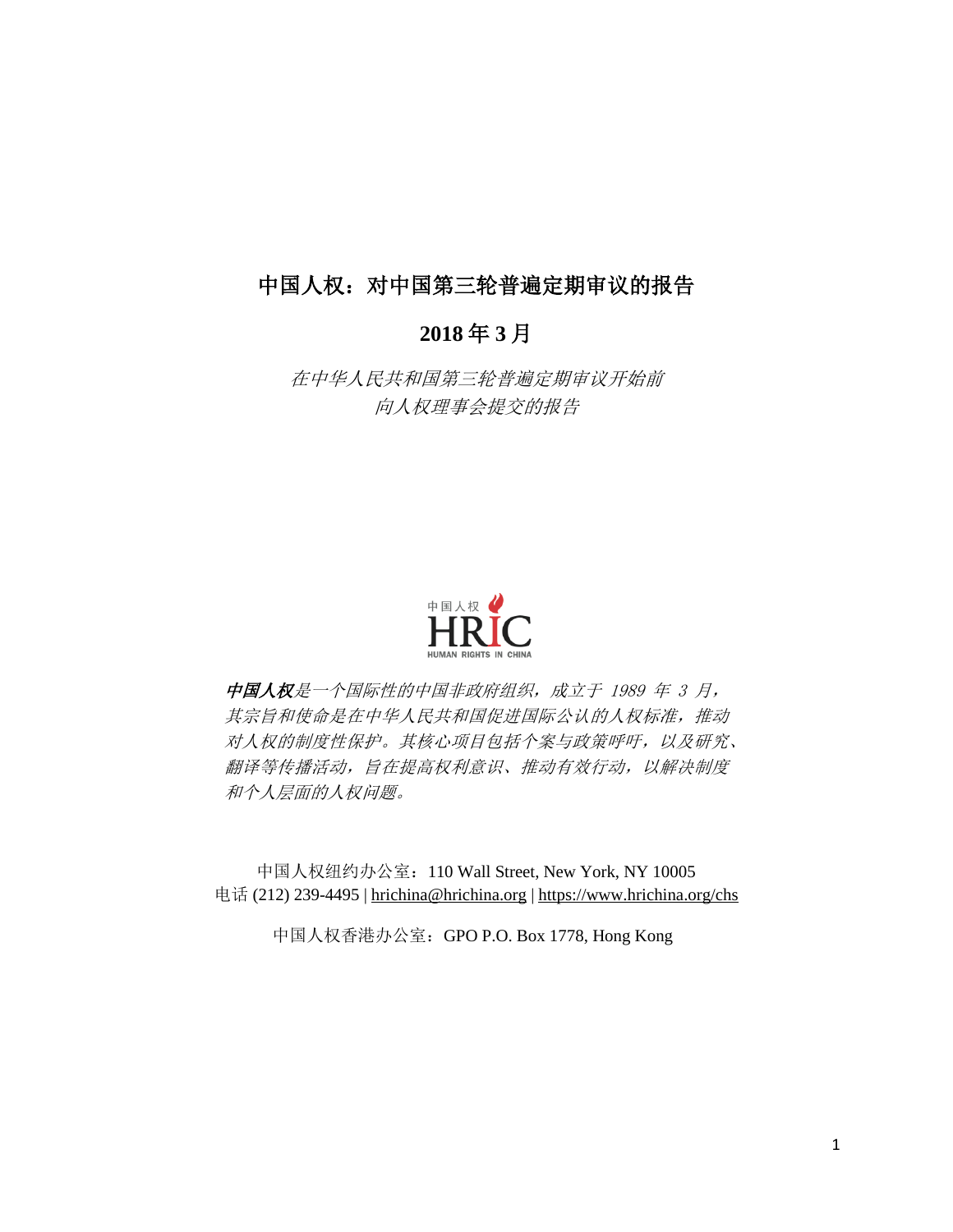# 中国人权:对中国第三轮普遍定期审议的报告

# **2018** 年 **3** 月

在中华人民共和国第三轮普遍定期审议开始前 向人权理事会提交的报告



中国人权是一个国际性的中国非政府组织,成立于 1989 年 3 月, 其宗旨和使命是在中华人民共和国促进国际公认的人权标准,推动 对人权的制度性保护。其核心项目包括个案与政策呼吁,以及研究、 翻译等传播活动,旨在提高权利意识、推动有效行动,以解决制度 和个人层面的人权问题。

中国人权纽约办公室:110 Wall Street, New York, NY 10005 电话 (212) 239-4495 | hrichina@hrichina.org | https://www.hrichina.org/chs

中国人权香港办公室:GPO P.O. Box 1778, Hong Kong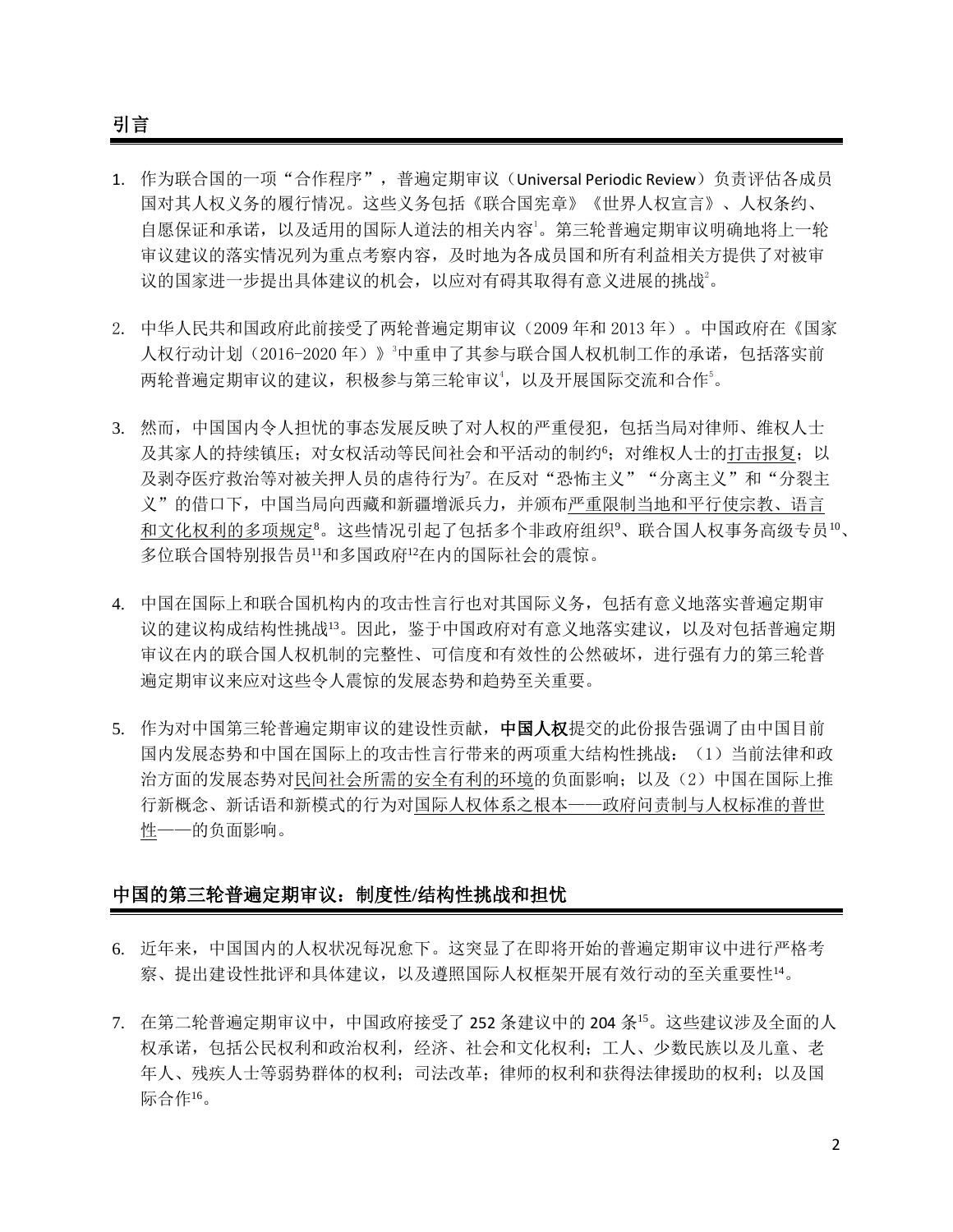引言

- 1. 作为联合国的一项"合作程序",普遍定期审议(Universal Periodic Review)负责评估各成员 国对其人权义务的履行情况。这些义务包括《联合国宪章》《世界人权宣言》、人权条约、 自愿保证和承诺,以及适用的国际人道法的相关内容<sup>1</sup>。第三轮普遍定期审议明确地将上一轮 审议建议的落实情况列为重点考察内容,及时地为各成员国和所有利益相关方提供了对被审 议的国家进一步提出具体建议的机会,以应对有碍其取得有意义进展的挑战。
- 2. 中华人民共和国政府此前接受了两轮普遍定期审议(2009 年和 2013 年)。中国政府在《国家 人权行动计划(2016-2020年)》<sup>3</sup>中重申了其参与联合国人权机制工作的承诺,包括落实前 两轮普遍定期审议的建议,积极参与第三轮审议4,以及开展国际交流和合作5。
- 3. 然而,中国国内令人担忧的事态发展反映了对人权的严重侵犯,包括当局对律师、维权人士 及其家人的持续镇压;对女权活动等民间社会和平活动的制约6;对维权人士的打击报复;以 及剥夺医疗救治等对被关押人员的虐待行为7。在反对"恐怖主义""分离主义"和"分裂主 义"的借口下,中国当局向西藏和新疆增派兵力,并颁布严重限制当地和平行使宗教、语言 和文化权利的多项规定8。这些情况引起了包括多个非政府组织9、联合国人权事务高级专员10、 多位联合国特别报告员<sup>11</sup>和多国政府<sup>12</sup>在内的国际社会的震惊。
- 4. 中国在国际上和联合国机构内的攻击性言行也对其国际义务,包括有意义地落实普遍定期审 议的建议构成结构性挑战<sup>13</sup>。因此,鉴于中国政府对有意义地落实建议,以及对包括普遍定期 审议在内的联合国人权机制的完整性、可信度和有效性的公然破坏,进行强有力的第三轮普 遍定期审议来应对这些令人震惊的发展态势和趋势至关重要。
- 5. 作为对中国第三轮普遍定期审议的建设性贡献,中国人权提交的此份报告强调了由中国目前 国内发展态势和中国在国际上的攻击性言行带来的两项重大结构性挑战:(1)当前法律和政 治方面的发展态势对民间社会所需的安全有利的环境的负面影响;以及(2)中国在国际上推 行新概念、新话语和新模式的行为对国际人权体系之根本——政府问责制与人权标准的普世 性——的负面影响。

## 中国的第三轮普遍定期审议:制度性**/**结构性挑战和担忧

- 6. 近年来,中国国内的人权状况每况愈下。这突显了在即将开始的普遍定期审议中进行严格考 察、提出建设性批评和具体建议,以及遵照国际人权框架开展有效行动的至关重要性1。
- 7. 在第二轮普遍定期审议中,中国政府接受了 252 条建议中的 204 条<sup>15</sup>。这些建议涉及全面的人 权承诺,包括公民权利和政治权利,经济、社会和文化权利;工人、少数民族以及儿童、老 年人、残疾人士等弱势群体的权利;司法改革;律师的权利和获得法律援助的权利;以及国 际合作16。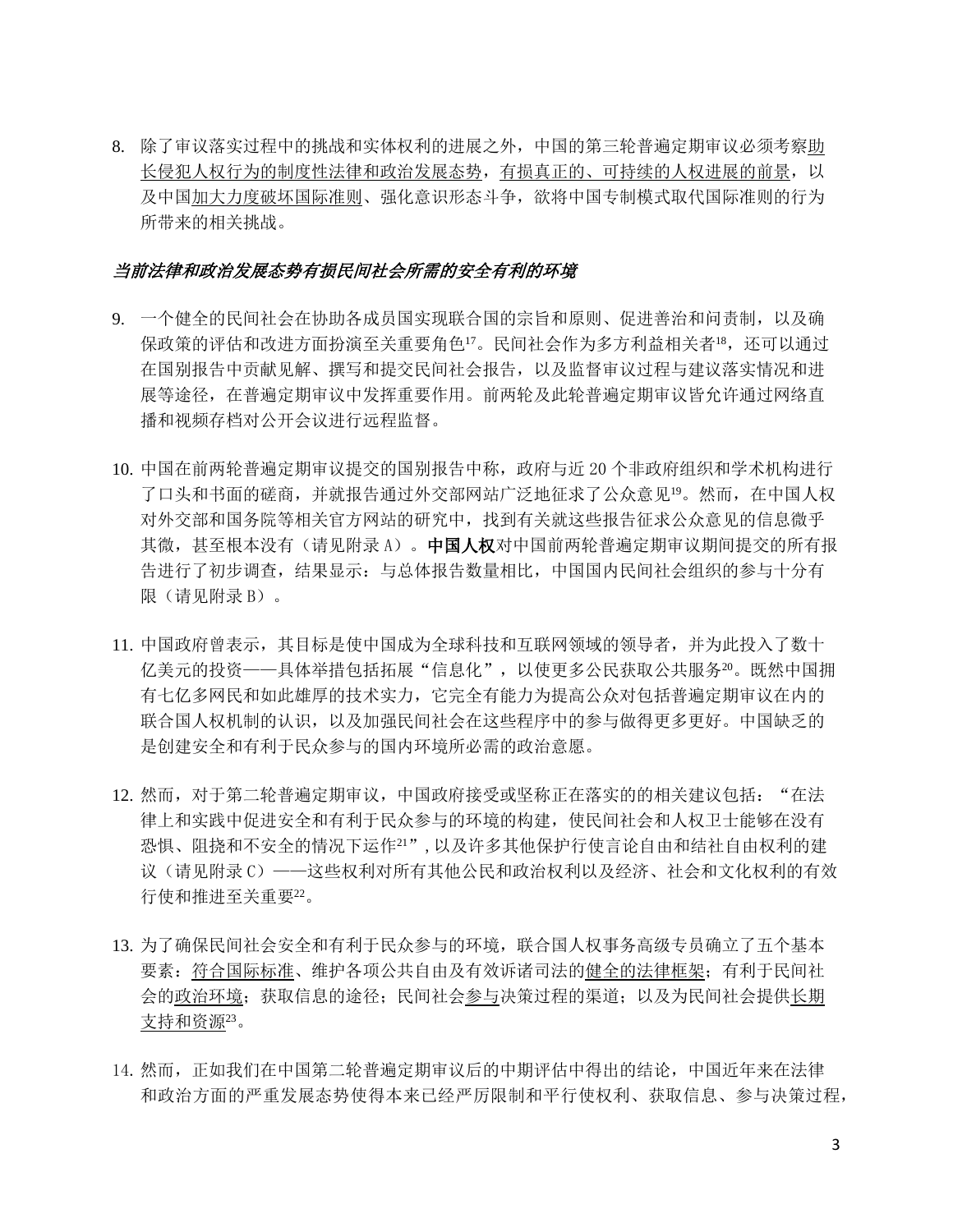8. 除了审议落实过程中的挑战和实体权利的进展之外,中国的第三轮普遍定期审议必须考察助 长侵犯人权行为的制度性法律和政治发展态势,有损真正的、可持续的人权进展的前景,以 及中国加大力度破坏国际准则、强化意识形态斗争,欲将中国专制模式取代国际准则的行为 所带来的相关挑战。

#### 当前法律和政治发展态势有损民间社会所需的安全有利的环境

- 9. 一个健全的民间社会在协助各成员国实现联合国的宗旨和原则、促进善治和问责制,以及确 保政策的评估和改进方面扮演至关重要角色<sup>17</sup>。民间社会作为多方利益相关者<sup>18</sup>,还可以通过 在国别报告中贡献见解、撰写和提交民间社会报告,以及监督审议过程与建议落实情况和进 展等途径,在普遍定期审议中发挥重要作用。前两轮及此轮普遍定期审议皆允许通过网络直 播和视频存档对公开会议进行远程监督。
- 10. 中国在前两轮普遍定期审议提交的国别报告中称,政府与近 20 个非政府组织和学术机构进行 了口头和书面的磋商,并就报告通过外交部网站广泛地征求了公众意见<sup>19</sup>。然而,在中国人权 对外交部和国务院等相关官方网站的研究中,找到有关就这些报告征求公众意见的信息微乎 其微, 甚至根本没有(请见附录 A)。中国人权对中国前两轮普遍定期审议期间提交的所有报 告进行了初步调查,结果显示:与总体报告数量相比,中国国内民间社会组织的参与十分有 限(请见附录 B)。
- 11. 中国政府曾表示,其目标是使中国成为全球科技和互联网领域的领导者,并为此投入了数十 亿美元的投资——具体举措包括拓展"信息化",以使更多公民获取公共服务<sup>20</sup>。既然中国拥 有七亿多网民和如此雄厚的技术实力,它完全有能力为提高公众对包括普遍定期审议在内的 联合国人权机制的认识,以及加强民间社会在这些程序中的参与做得更多更好。中国缺乏的 是创建安全和有利于民众参与的国内环境所必需的政治意愿。
- 12. 然而,对于第二轮普遍定期审议,中国政府接受或坚称正在落实的的相关建议包括: "在法 律上和实践中促进安全和有利于民众参与的环境的构建,使民间社会和人权卫士能够在没有 恐惧、阻挠和不安全的情况下运作<sup>21</sup>",以及许多其他保护行使言论自由和结社自由权利的建 议(请见附录 C)——这些权利对所有其他公民和政治权利以及经济、社会和文化权利的有效 行使和推进至关重要<sup>22</sup>。
- 13. 为了确保民间社会安全和有利于民众参与的环境,联合国人权事务高级专员确立了五个基本 要素:符合国际标准、维护各项公共自由及有效诉诸司法的健全的法律框架;有利于民间社 会的政治环境;获取信息的途径;民间社会参与决策过程的渠道;以及为民间社会提供长期 支持和资源<sup>23</sup>。
- 14.然而,正如我们在中国第二轮普遍定期审议后的中期评估中得出的结论,中国近年来在法律 和政治方面的严重发展态势使得本来已经严厉限制和平行使权利、获取信息、参与决策过程,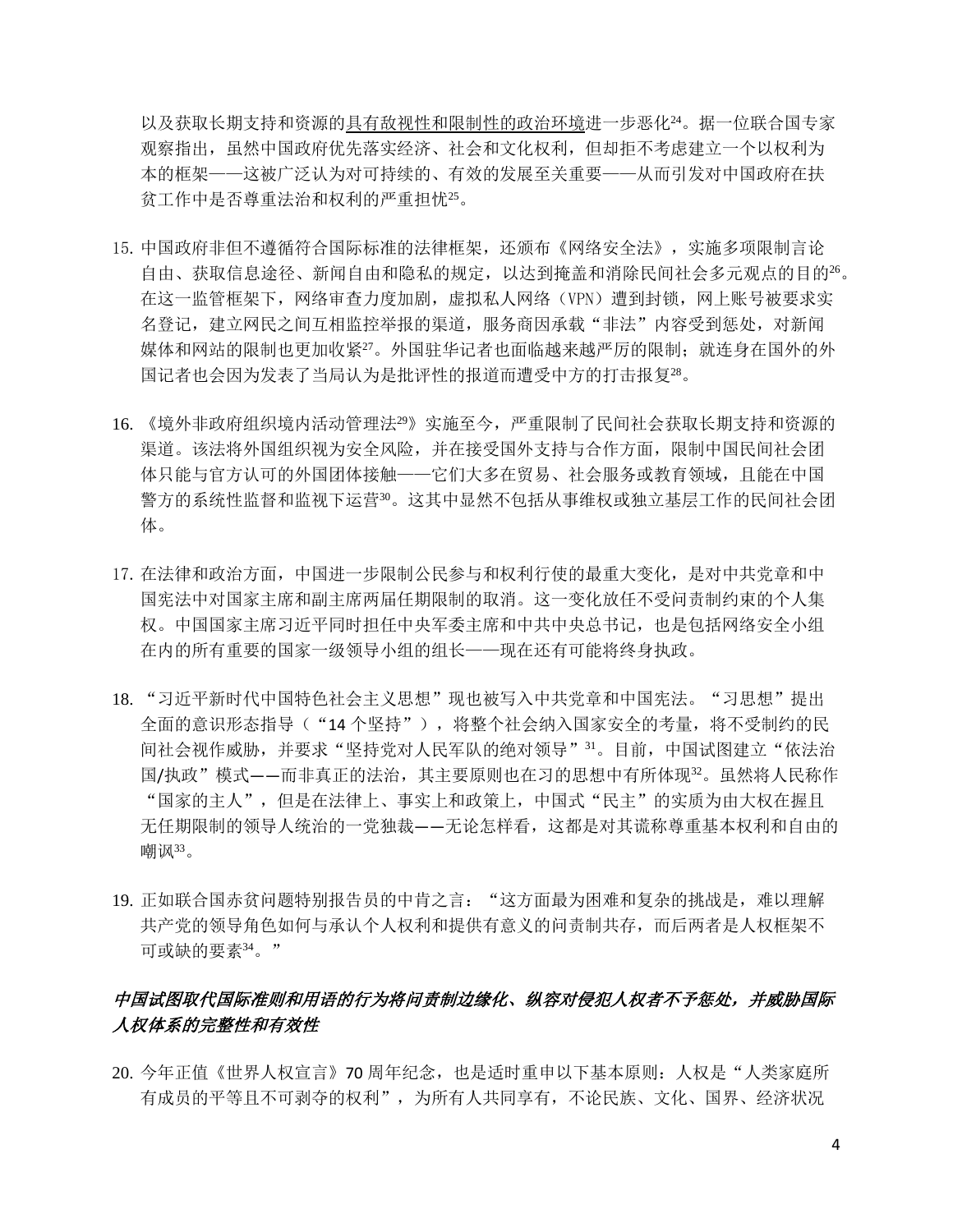以及获取长期支持和资源的具有敌视性和限制性的政治环境进一步恶化24。据一位联合国专家 观察指出,虽然中国政府优先落实经济、社会和文化权利,但却拒不考虑建立一个以权利为 本的框架——这被广泛认为对可持续的、有效的发展至关重要——从而引发对中国政府在扶 贫工作中是否尊重法治和权利的严重担忧<sup>25</sup>。

- 15.中国政府非但不遵循符合国际标准的法律框架,还颁布《网络安全法》,实施多项限制言论 自由、获取信息途径、新闻自由和隐私的规定,以达到掩盖和消除民间社会多元观点的目的<sup>26</sup>。 在这一监管框架下,网络审查力度加剧,虚拟私人网络(VPN)遭到封锁,网上账号被要求实 名登记,建立网民之间互相监控举报的渠道,服务商因承载"非法"内容受到惩处,对新闻 媒体和网站的限制也更加收紧27。外国驻华记者也面临越来越严厉的限制;就连身在国外的外 国记者也会因为发表了当局认为是批评性的报道而遭受中方的打击报复<sup>28</sup>。
- 16. 《境外非政府组织境内活动管理法<sup>29</sup>》实施至今,严重限制了民间社会获取长期支持和资源的 渠道。该法将外国组织视为安全风险,并在接受国外支持与合作方面,限制中国民间社会团 体只能与官方认可的外国团体接触——它们大多在贸易、社会服务或教育领域,且能在中国 警方的系统性监督和监视下运营30。这其中显然不包括从事维权或独立基层工作的民间社会团 体。
- 17.在法律和政治方面,中国进一步限制公民参与和权利行使的最重大变化,是对中共党章和中 国宪法中对国家主席和副主席两届任期限制的取消。这一变化放任不受问责制约束的个人集 权。中国国家主席习近平同时担任中央军委主席和中共中央总书记,也是包括网络安全小组 在内的所有重要的国家一级领导小组的组长——现在还有可能将终身执政。
- 18. "习近平新时代中国特色社会主义思想"现也被写入中共党章和中国宪法。"习思想"提出 全面的意识形态指导("14 个坚持"),将整个社会纳入国家安全的考量,将不受制约的民 间社会视作威胁,并要求"坚持党对人民军队的绝对领导"3。目前,中国试图建立"依法治 国/执政"模式——而非真正的法治,其主要原则也在习的思想中有所体现32。虽然将人民称作 "国家的主人",但是在法律上、事实上和政策上,中国式"民主"的实质为由大权在握且 无任期限制的领导人统治的一党独裁——无论怎样看,这都是对其谎称尊重基本权利和自由的 嘲讽<sup>33</sup>。
- 19. 正如联合国赤贫问题特别报告员的中肯之言: "这方面最为困难和复杂的挑战是, 难以理解 共产党的领导角色如何与承认个人权利和提供有意义的问责制共存,而后两者是人权框架不 可或缺的要素<sup>34</sup>。"

## 中国试图取代国际准则和用语的行为将问责制边缘化、纵容对侵犯人权者不予惩处,并威胁国际 人权体系的完整性和有效性

20. 今年正值《世界人权宣言》70 周年纪念, 也是适时重申以下基本原则: 人权是"人类家庭所 有成员的平等且不可剥夺的权利",为所有人共同享有,不论民族、文化、国界、经济状况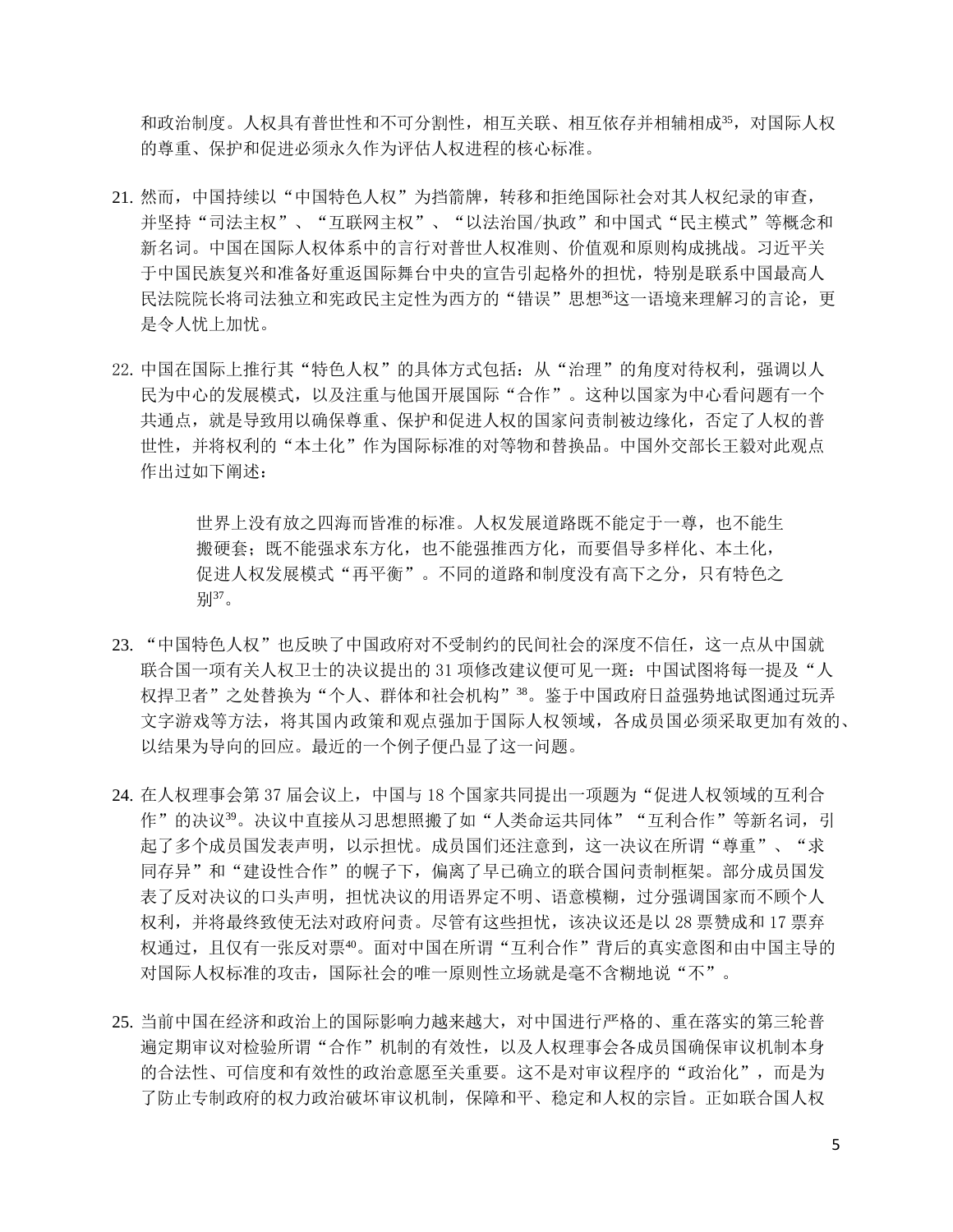和政治制度。人权具有普世性和不可分割性,相互关联、相互依存并相辅相成35,对国际人权 的尊重、保护和促进必须永久作为评估人权进程的核心标准。

- 21. 然而,中国持续以"中国特色人权"为挡箭牌,转移和拒绝国际社会对其人权纪录的审查, 并坚持"司法主权"、"互联网主权"、"以法治国/执政"和中国式"民主模式"等概念和 新名词。中国在国际人权体系中的言行对普世人权准则、价值观和原则构成挑战。习近平关 于中国民族复兴和准备好重返国际舞台中央的宣告引起格外的担忧,特别是联系中国最高人 民法院院长将司法独立和宪政民主定性为西方的"错误"思想3这一语境来理解习的言论,更 是令人忧上加忧。
- 22. 中国在国际上推行其"特色人权"的具体方式包括: 从"治理"的角度对待权利, 强调以人 民为中心的发展模式,以及注重与他国开展国际"合作"。这种以国家为中心看问题有一个 共通点,就是导致用以确保尊重、保护和促进人权的国家问责制被边缘化,否定了人权的普 世性,并将权利的"本土化"作为国际标准的对等物和替换品。中国外交部长王毅对此观点 作出过如下阐述:

世界上没有放之四海而皆准的标准。人权发展道路既不能定于一尊,也不能生 搬硬套;既不能强求东方化,也不能强推西方化,而要倡导多样化、本土化, 促进人权发展模式"再平衡"。不同的道路和制度没有高下之分,只有特色之 别37。

- 23. "中国特色人权"也反映了中国政府对不受制约的民间社会的深度不信任,这一点从中国就 联合国一项有关人权卫士的决议提出的 31 项修改建议便可见一斑: 中国试图将每一提及"人 权捍卫者"之处替换为"个人、群体和社会机构"<sup>38</sup>。鉴于中国政府日益强势地试图通过玩弄 文字游戏等方法,将其国内政策和观点强加于国际人权领域,各成员国必须采取更加有效的、 以结果为导向的回应。最近的一个例子便凸显了这一问题。
- 24. 在人权理事会第 37 届会议上, 中国与 18 个国家共同提出一项题为"促进人权领域的互利合 作"的决议39。决议中直接从习思想照搬了如"人类命运共同体""互利合作"等新名词,引 起了多个成员国发表声明,以示担忧。成员国们还注意到,这一决议在所谓"尊重"、"求 同存异"和"建设性合作"的幌子下,偏离了早已确立的联合国问责制框架。部分成员国发 表了反对决议的口头声明,担忧决议的用语界定不明、语意模糊,过分强调国家而不顾个人 权利,并将最终致使无法对政府问责。尽管有这些担忧,该决议还是以 28 票赞成和 17 票弃 权通过,且仅有一张反对票40。面对中国在所谓"互利合作"背后的真实意图和由中国主导的 对国际人权标准的攻击,国际社会的唯一原则性立场就是毫不含糊地说"不"。
- 25. 当前中国在经济和政治上的国际影响力越来越大,对中国进行严格的、重在落实的第三轮普 遍定期审议对检验所谓"合作"机制的有效性,以及人权理事会各成员国确保审议机制本身 的合法性、可信度和有效性的政治意愿至关重要。这不是对审议程序的"政治化",而是为 了防止专制政府的权力政治破坏审议机制,保障和平、稳定和人权的宗旨。正如联合国人权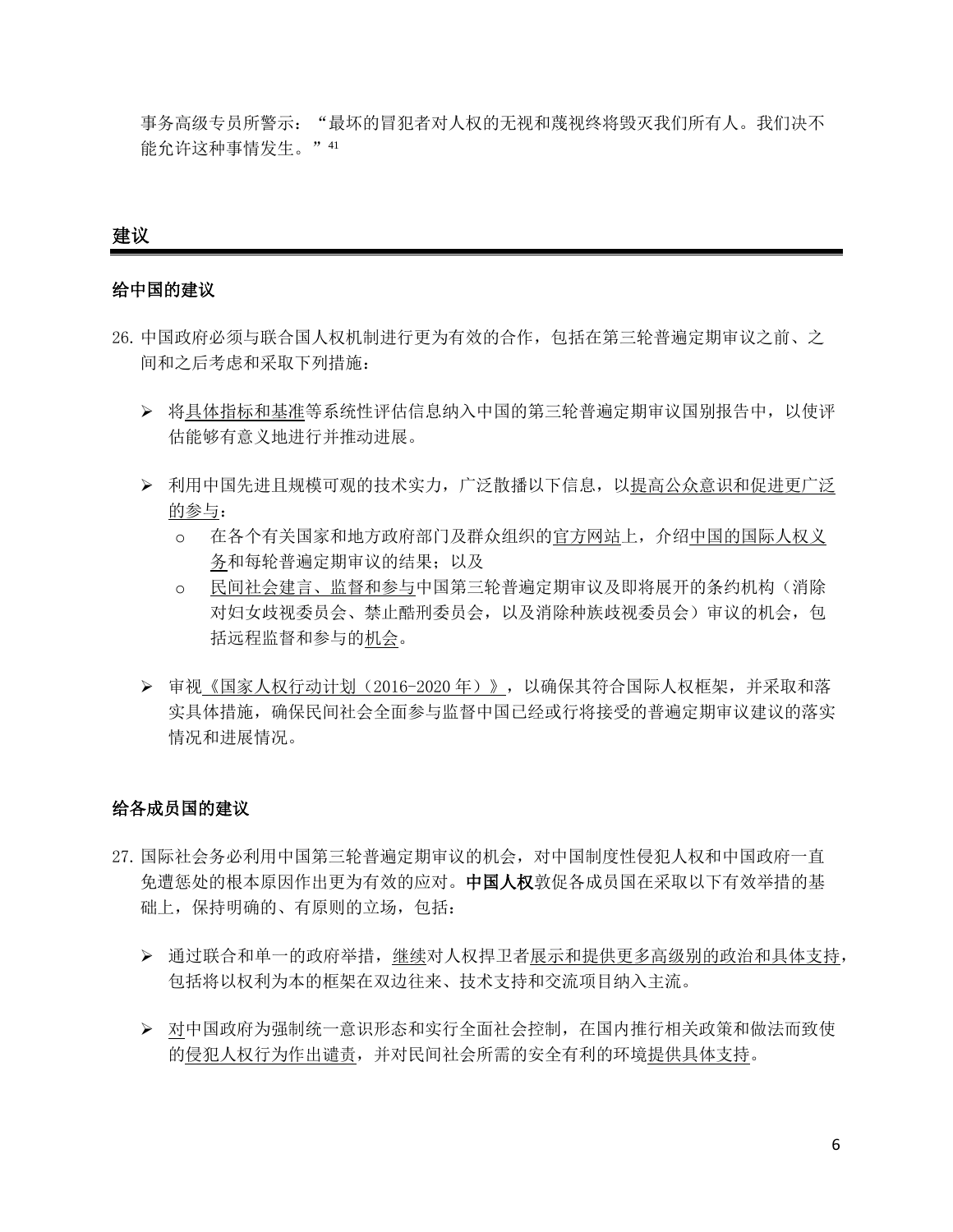事务高级专员所警示: "最坏的冒犯者对人权的无视和蔑视终将毁灭我们所有人。我们决不 能允许这种事情发生。"41

### 建议

### 给中国的建议

- 26.中国政府必须与联合国人权机制进行更为有效的合作,包括在第三轮普遍定期审议之前、之 间和之后考虑和采取下列措施:
	- ➢ 将具体指标和基准等系统性评估信息纳入中国的第三轮普遍定期审议国别报告中,以使评 估能够有意义地进行并推动进展。
	- ➢ 利用中国先进且规模可观的技术实力,广泛散播以下信息,以提高公众意识和促进更广泛 的参与:
		- o 在各个有关国家和地方政府部门及群众组织的官方网站上,介绍中国的国际人权义 务和每轮普遍定期审议的结果;以及
		- o 民间社会建言、监督和参与中国第三轮普遍定期审议及即将展开的条约机构(消除 对妇女歧视委员会、禁止酷刑委员会,以及消除种族歧视委员会)审议的机会,包 括远程监督和参与的机会。
	- ➢ 审视《国家人权行动计划(2016-2020 年)》,以确保其符合国际人权框架,并采取和落 实具体措施,确保民间社会全面参与监督中国已经或行将接受的普遍定期审议建议的落实 情况和进展情况。

### 给各成员国的建议

- 27.国际社会务必利用中国第三轮普遍定期审议的机会,对中国制度性侵犯人权和中国政府一直 免遭惩处的根本原因作出更为有效的应对。中国人权敦促各成员国在采取以下有效举措的基 础上,保持明确的、有原则的立场,包括:
	- ➢ 通过联合和单一的政府举措,继续对人权捍卫者展示和提供更多高级别的政治和具体支持, 包括将以权利为本的框架在双边往来、技术支持和交流项目纳入主流。
	- ➢ 对中国政府为强制统一意识形态和实行全面社会控制,在国内推行相关政策和做法而致使 的侵犯人权行为作出谴责,并对民间社会所需的安全有利的环境提供具体支持。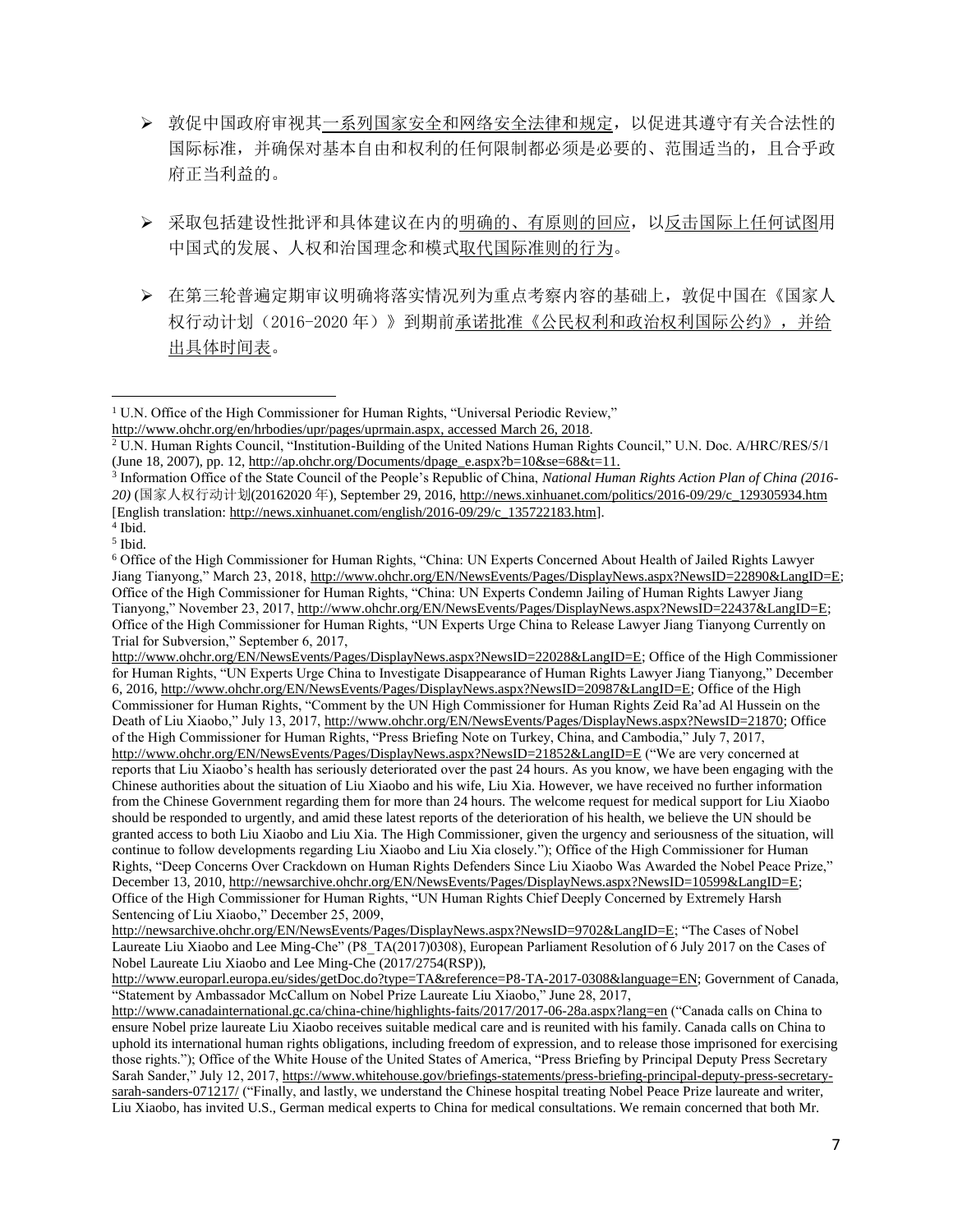- ➢ 敦促中国政府审视其一系列国家安全和网络安全法律和规定,以促进其遵守有关合法性的 国际标准,并确保对基本自由和权利的任何限制都必须是必要的、范围适当的,且合乎政 府正当利益的。
- ➢ 采取包括建设性批评和具体建议在内的明确的、有原则的回应,以反击国际上任何试图用 中国式的发展、人权和治国理念和模式取代国际准则的行为。
- ➢ 在第三轮普遍定期审议明确将落实情况列为重点考察内容的基础上,敦促中国在《国家人 权行动计划(2016-2020 年)》到期前承诺批准《公民权利和政治权利国际公约》,并给 出具体时间表。

3 Information Office of the State Council of the People's Republic of China, *National Human Rights Action Plan of China (2016- 20)* (国家人权行动计划(20162020 年), September 29, 2016[, http://news.xinhuanet.com/politics/2016-09/29/c\\_129305934.htm](http://news.xinhuanet.com/politics/2016-09/29/c_129305934.htm) [English translation[: http://news.xinhuanet.com/english/2016-09/29/c\\_135722183.htm\]](http://news.xinhuanet.com/english/2016-09/29/c_135722183.htm).

 $\overline{\phantom{a}}$ 

[http://www.ohchr.org/EN/NewsEvents/Pages/DisplayNews.aspx?NewsID=22028&LangID=E;](http://www.ohchr.org/EN/NewsEvents/Pages/DisplayNews.aspx?NewsID=22028&LangID=E) Office of the High Commissioner for Human Rights, "UN Experts Urge China to Investigate Disappearance of Human Rights Lawyer Jiang Tianyong," December 6, 2016[, http://www.ohchr.org/EN/NewsEvents/Pages/DisplayNews.aspx?NewsID=20987&LangID=E;](http://www.ohchr.org/EN/NewsEvents/Pages/DisplayNews.aspx?NewsID=20987&LangID=E) Office of the High Commissioner for Human Rights, "Comment by the UN High Commissioner for Human Rights Zeid Ra'ad Al Hussein on the Death of Liu Xiaobo," July 13, 2017[, http://www.ohchr.org/EN/NewsEvents/Pages/DisplayNews.aspx?NewsID=21870;](http://www.ohchr.org/EN/NewsEvents/Pages/DisplayNews.aspx?NewsID=21870) Office of the High Commissioner for Human Rights, "Press Briefing Note on Turkey, China, and Cambodia," July 7, 2017, <http://www.ohchr.org/EN/NewsEvents/Pages/DisplayNews.aspx?NewsID=21852&LangID=E> ("We are very concerned at reports that Liu Xiaobo's health has seriously deteriorated over the past 24 hours. As you know, we have been engaging with the Chinese authorities about the situation of Liu Xiaobo and his wife, Liu Xia. However, we have received no further information from the Chinese Government regarding them for more than 24 hours. The welcome request for medical support for Liu Xiaobo should be responded to urgently, and amid these latest reports of the deterioration of his health, we believe the UN should be granted access to both Liu Xiaobo and Liu Xia. The High Commissioner, given the urgency and seriousness of the situation, will continue to follow developments regarding Liu Xiaobo and Liu Xia closely."); Office of the High Commissioner for Human Rights, "Deep Concerns Over Crackdown on Human Rights Defenders Since Liu Xiaobo Was Awarded the Nobel Peace Prize," December 13, 2010, [http://newsarchive.ohchr.org/EN/NewsEvents/Pages/DisplayNews.aspx?NewsID=10599&LangID=E;](http://newsarchive.ohchr.org/EN/NewsEvents/Pages/DisplayNews.aspx?NewsID=10599&LangID=E) Office of the High Commissioner for Human Rights, "UN Human Rights Chief Deeply Concerned by Extremely Harsh Sentencing of Liu Xiaobo," December 25, 2009,

[http://newsarchive.ohchr.org/EN/NewsEvents/Pages/DisplayNews.aspx?NewsID=9702&LangID=E;](http://newsarchive.ohchr.org/EN/NewsEvents/Pages/DisplayNews.aspx?NewsID=9702&LangID=E) "The Cases of Nobel Laureate Liu Xiaobo and Lee Ming-Che" (P8\_TA(2017)0308), European Parliament Resolution of 6 July 2017 on the Cases of Nobel Laureate Liu Xiaobo and Lee Ming-Che (2017/2754(RSP)),

[http://www.europarl.europa.eu/sides/getDoc.do?type=TA&reference=P8-TA-2017-0308&language=EN;](http://www.europarl.europa.eu/sides/getDoc.do?type=TA&reference=P8-TA-2017-0308&language=EN) Government of Canada, "Statement by Ambassador McCallum on Nobel Prize Laureate Liu Xiaobo," June 28, 2017,

<http://www.canadainternational.gc.ca/china-chine/highlights-faits/2017/2017-06-28a.aspx?lang=en> ("Canada calls on China to ensure Nobel prize laureate Liu Xiaobo receives suitable medical care and is reunited with his family. Canada calls on China to uphold its international human rights obligations, including freedom of expression, and to release those imprisoned for exercising those rights."); Office of the White House of the United States of America, "Press Briefing by Principal Deputy Press Secretary Sarah Sander," July 12, 2017[, https://www.whitehouse.gov/briefings-statements/press-briefing-principal-deputy-press-secretary](https://www.whitehouse.gov/briefings-statements/press-briefing-principal-deputy-press-secretary-sarah-sanders-071217/)[sarah-sanders-071217/](https://www.whitehouse.gov/briefings-statements/press-briefing-principal-deputy-press-secretary-sarah-sanders-071217/) ("Finally, and lastly, we understand the Chinese hospital treating Nobel Peace Prize laureate and writer, Liu Xiaobo, has invited U.S., German medical experts to China for medical consultations. We remain concerned that both Mr.

<sup>&</sup>lt;sup>1</sup> U.N. Office of the High Commissioner for Human Rights, "Universal Periodic Review,"

[http://www.ohchr.org/en/hrbodies/upr/pages/uprmain.aspx,](http://www.ohchr.org/en/hrbodies/upr/pages/uprmain.aspx) accessed March 26, 2018.

<sup>&</sup>lt;sup>2</sup> U.N. Human Rights Council, "Institution-Building of the United Nations Human Rights Council," U.N. Doc. A/HRC/RES/5/1 (June 18, 2007), pp. 12[, http://ap.ohchr.org/Documents/dpage\\_e.aspx?b=10&se=68&t=11.](http://ap.ohchr.org/Documents/dpage_e.aspx?b=10&se=68&t=11)

<sup>4</sup> Ibid. 5 Ibid.

<sup>6</sup> Office of the High Commissioner for Human Rights, "China: UN Experts Concerned About Health of Jailed Rights Lawyer Jiang Tianyong," March 23, 2018[, http://www.ohchr.org/EN/NewsEvents/Pages/DisplayNews.aspx?NewsID=22890&LangID=E;](http://www.ohchr.org/EN/NewsEvents/Pages/DisplayNews.aspx?NewsID=22890&LangID=E) Office of the High Commissioner for Human Rights, "China: UN Experts Condemn Jailing of Human Rights Lawyer Jiang Tianyong," November 23, 2017, [http://www.ohchr.org/EN/NewsEvents/Pages/DisplayNews.aspx?NewsID=22437&LangID=E;](http://www.ohchr.org/EN/NewsEvents/Pages/DisplayNews.aspx?NewsID=22437&LangID=E) Office of the High Commissioner for Human Rights, "UN Experts Urge China to Release Lawyer Jiang Tianyong Currently on Trial for Subversion," September 6, 2017,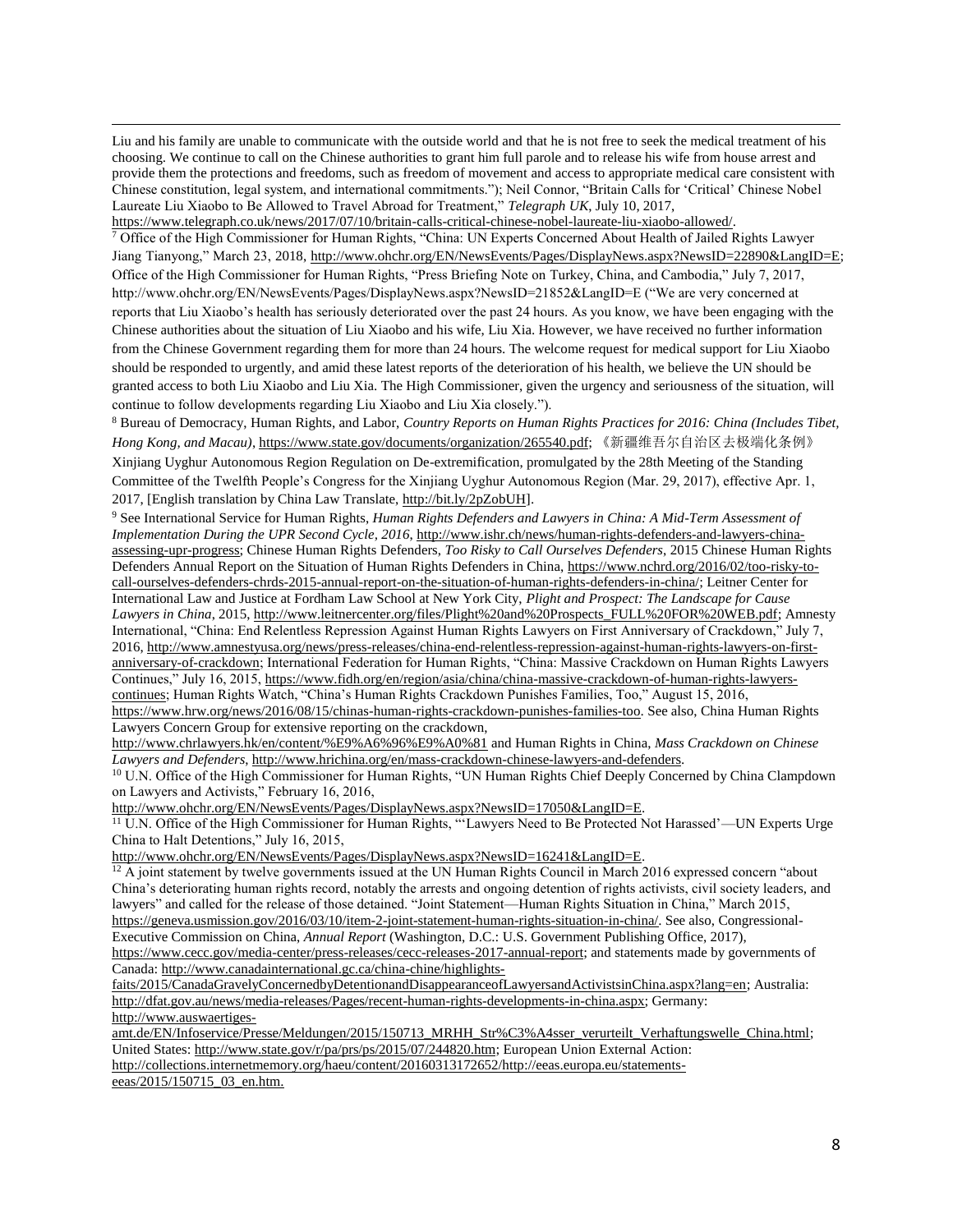Liu and his family are unable to communicate with the outside world and that he is not free to seek the medical treatment of his choosing. We continue to call on the Chinese authorities to grant him full parole and to release his wife from house arrest and provide them the protections and freedoms, such as freedom of movement and access to appropriate medical care consistent with Chinese constitution, legal system, and international commitments."); Neil Connor, "Britain Calls for 'Critical' Chinese Nobel Laureate Liu Xiaobo to Be Allowed to Travel Abroad for Treatment," *Telegraph UK*, July 10, 2017, [https://www.telegraph.co.uk/news/2017/07/10/britain-calls-critical-chinese-nobel-laureate-liu-xiaobo-allowed/.](https://www.telegraph.co.uk/news/2017/07/10/britain-calls-critical-chinese-nobel-laureate-liu-xiaobo-allowed/)

 $\overline{a}$ 

<sup>7</sup> Office of the High Commissioner for Human Rights, "China: UN Experts Concerned About Health of Jailed Rights Lawyer Jiang Tianyong," March 23, 2018[, http://www.ohchr.org/EN/NewsEvents/Pages/DisplayNews.aspx?NewsID=22890&LangID=E;](http://www.ohchr.org/EN/NewsEvents/Pages/DisplayNews.aspx?NewsID=22890&LangID=E) Office of the High Commissioner for Human Rights, "Press Briefing Note on Turkey, China, and Cambodia," July 7, 2017, http://www.ohchr.org/EN/NewsEvents/Pages/DisplayNews.aspx?NewsID=21852&LangID=E ("We are very concerned at reports that Liu Xiaobo's health has seriously deteriorated over the past 24 hours. As you know, we have been engaging with the Chinese authorities about the situation of Liu Xiaobo and his wife, Liu Xia. However, we have received no further information from the Chinese Government regarding them for more than 24 hours. The welcome request for medical support for Liu Xiaobo should be responded to urgently, and amid these latest reports of the deterioration of his health, we believe the UN should be granted access to both Liu Xiaobo and Liu Xia. The High Commissioner, given the urgency and seriousness of the situation, will continue to follow developments regarding Liu Xiaobo and Liu Xia closely.").

<sup>8</sup> Bureau of Democracy, Human Rights, and Labor, *Country Reports on Human Rights Practices for 2016: China (Includes Tibet, Hong Kong, and Macau)*[, https://www.state.gov/documents/organization/265540.pdf;](https://www.state.gov/documents/organization/265540.pdf) 《新疆维吾尔自治区去极端化条例》 Xinjiang Uyghur Autonomous Region Regulation on De-extremification, promulgated by the 28th Meeting of the Standing Committee of the Twelfth People's Congress for the Xinjiang Uyghur Autonomous Region (Mar. 29, 2017), effective Apr. 1, 2017, [English translation by China Law Translate[, http://bit.ly/2pZobUH\]](http://bit.ly/2pZobUH).

<sup>9</sup> See International Service for Human Rights, *Human Rights Defenders and Lawyers in China: A Mid-Term Assessment of Implementation During the UPR Second Cycle, 2016*[, http://www.ishr.ch/news/human-rights-defenders-and-lawyers-china](http://www.ishr.ch/news/human-rights-defenders-and-lawyers-china-assessing-upr-progress)[assessing-upr-progress;](http://www.ishr.ch/news/human-rights-defenders-and-lawyers-china-assessing-upr-progress) Chinese Human Rights Defenders, *Too Risky to Call Ourselves Defenders*, 2015 Chinese Human Rights Defenders Annual Report on the Situation of Human Rights Defenders in China[, https://www.nchrd.org/2016/02/too-risky-to](https://www.nchrd.org/2016/02/too-risky-to-call-ourselves-defenders-chrds-2015-annual-report-on-the-situation-of-human-rights-defenders-in-china/)[call-ourselves-defenders-chrds-2015-annual-report-on-the-situation-of-human-rights-defenders-in-china/;](https://www.nchrd.org/2016/02/too-risky-to-call-ourselves-defenders-chrds-2015-annual-report-on-the-situation-of-human-rights-defenders-in-china/) Leitner Center for International Law and Justice at Fordham Law School at New York City, *Plight and Prospect: The Landscape for Cause*  Lawyers in China, 2015, [http://www.leitnercenter.org/files/Plight%20and%20Prospects\\_FULL%20FOR%20WEB.pdf;](http://www.leitnercenter.org/files/Plight%20and%20Prospects_FULL%20FOR%20WEB.pdf) Amnesty International, "China: End Relentless Repression Against Human Rights Lawyers on First Anniversary of Crackdown," July 7, 2016[, http://www.amnestyusa.org/news/press-releases/china-end-relentless-repression-against-human-rights-lawyers-on-first](http://www.amnestyusa.org/news/press-releases/china-end-relentless-repression-against-human-rights-lawyers-on-first-anniversary-of-crackdown)[anniversary-of-crackdown;](http://www.amnestyusa.org/news/press-releases/china-end-relentless-repression-against-human-rights-lawyers-on-first-anniversary-of-crackdown) International Federation for Human Rights, "China: Massive Crackdown on Human Rights Lawyers Continues," July 16, 2015[, https://www.fidh.org/en/region/asia/china/china-massive-crackdown-of-human-rights-lawyers](https://www.fidh.org/en/region/asia/china/china-massive-crackdown-of-human-rights-lawyers-continues)[continues;](https://www.fidh.org/en/region/asia/china/china-massive-crackdown-of-human-rights-lawyers-continues) Human Rights Watch, "China's Human Rights Crackdown Punishes Families, Too," August 15, 2016, [https://www.hrw.org/news/2016/08/15/chinas-human-rights-crackdown-punishes-families-too.](https://www.hrw.org/news/2016/08/15/chinas-human-rights-crackdown-punishes-families-too) See also, China Human Rights Lawyers Concern Group for extensive reporting on the crackdown,

<http://www.chrlawyers.hk/en/content/%E9%A6%96%E9%A0%81> and Human Rights in China, *Mass Crackdown on Chinese Lawyers and Defenders*, [http://www.hrichina.org/en/mass-crackdown-chinese-lawyers-and-defenders.](http://www.hrichina.org/en/mass-crackdown-chinese-lawyers-and-defenders)

<sup>10</sup> U.N. Office of the High Commissioner for Human Rights, "UN Human Rights Chief Deeply Concerned by China Clampdown on Lawyers and Activists," February 16, 2016,

[http://www.ohchr.org/EN/NewsEvents/Pages/DisplayNews.aspx?NewsID=17050&LangID=E.](http://www.ohchr.org/EN/NewsEvents/Pages/DisplayNews.aspx?NewsID=17050&LangID=E)

<sup>11</sup> U.N. Office of the High Commissioner for Human Rights, "Lawyers Need to Be Protected Not Harassed'—UN Experts Urge China to Halt Detentions," July 16, 2015,

[http://www.ohchr.org/EN/NewsEvents/Pages/DisplayNews.aspx?NewsID=16241&LangID=E.](http://www.ohchr.org/EN/NewsEvents/Pages/DisplayNews.aspx?NewsID=16241&LangID=E)

 $12$  A joint statement by twelve governments issued at the UN Human Rights Council in March 2016 expressed concern "about China's deteriorating human rights record, notably the arrests and ongoing detention of rights activists, civil society leaders, and lawyers" and called for the release of those detained. "Joint Statement—Human Rights Situation in China," March 2015, [https://geneva.usmission.gov/2016/03/10/item-2-joint-statement-human-rights-situation-in-china/.](https://geneva.usmission.gov/2016/03/10/item-2-joint-statement-human-rights-situation-in-china/) See also, Congressional-Executive Commission on China, *Annual Report* (Washington, D.C.: U.S. Government Publishing Office, 2017), [https://www.cecc.gov/media-center/press-releases/cecc-releases-2017-annual-report;](https://www.cecc.gov/media-center/press-releases/cecc-releases-2017-annual-report) and statements made by governments of Canada[: http://www.canadainternational.gc.ca/china-chine/highlights-](http://www.canadainternational.gc.ca/china-chine/highlights-faits/2015/CanadaGravelyConcernedbyDetentionandDisappearanceofLawyersandActivistsinChina.aspx?lang=en)

[faits/2015/CanadaGravelyConcernedbyDetentionandDisappearanceofLawyersandActivistsinChina.aspx?lang=en;](http://www.canadainternational.gc.ca/china-chine/highlights-faits/2015/CanadaGravelyConcernedbyDetentionandDisappearanceofLawyersandActivistsinChina.aspx?lang=en) Australia: [http://dfat.gov.au/news/media-releases/Pages/recent-human-rights-developments-in-china.aspx;](http://dfat.gov.au/news/media-releases/Pages/recent-human-rights-developments-in-china.aspx) Germany: [http://www.auswaertiges-](http://www.auswaertiges-amt.de/EN/Infoservice/Presse/Meldungen/2015/150713_MRHH_Str%C3%A4sser_verurteilt_Verhaftungswelle_China.html)

[amt.de/EN/Infoservice/Presse/Meldungen/2015/150713\\_MRHH\\_Str%C3%A4sser\\_verurteilt\\_Verhaftungswelle\\_China.html;](http://www.auswaertiges-amt.de/EN/Infoservice/Presse/Meldungen/2015/150713_MRHH_Str%C3%A4sser_verurteilt_Verhaftungswelle_China.html) United States: [http://www.state.gov/r/pa/prs/ps/2015/07/244820.htm;](http://www.state.gov/r/pa/prs/ps/2015/07/244820.htm) European Union External Action: [http://collections.internetmemory.org/haeu/content/20160313172652/http://eeas.europa.eu/statements](http://collections.internetmemory.org/haeu/content/20160313172652/http:/eeas.europa.eu/statements-eeas/2015/150715_03_en.htm)[eeas/2015/150715\\_03\\_en.htm.](http://collections.internetmemory.org/haeu/content/20160313172652/http:/eeas.europa.eu/statements-eeas/2015/150715_03_en.htm)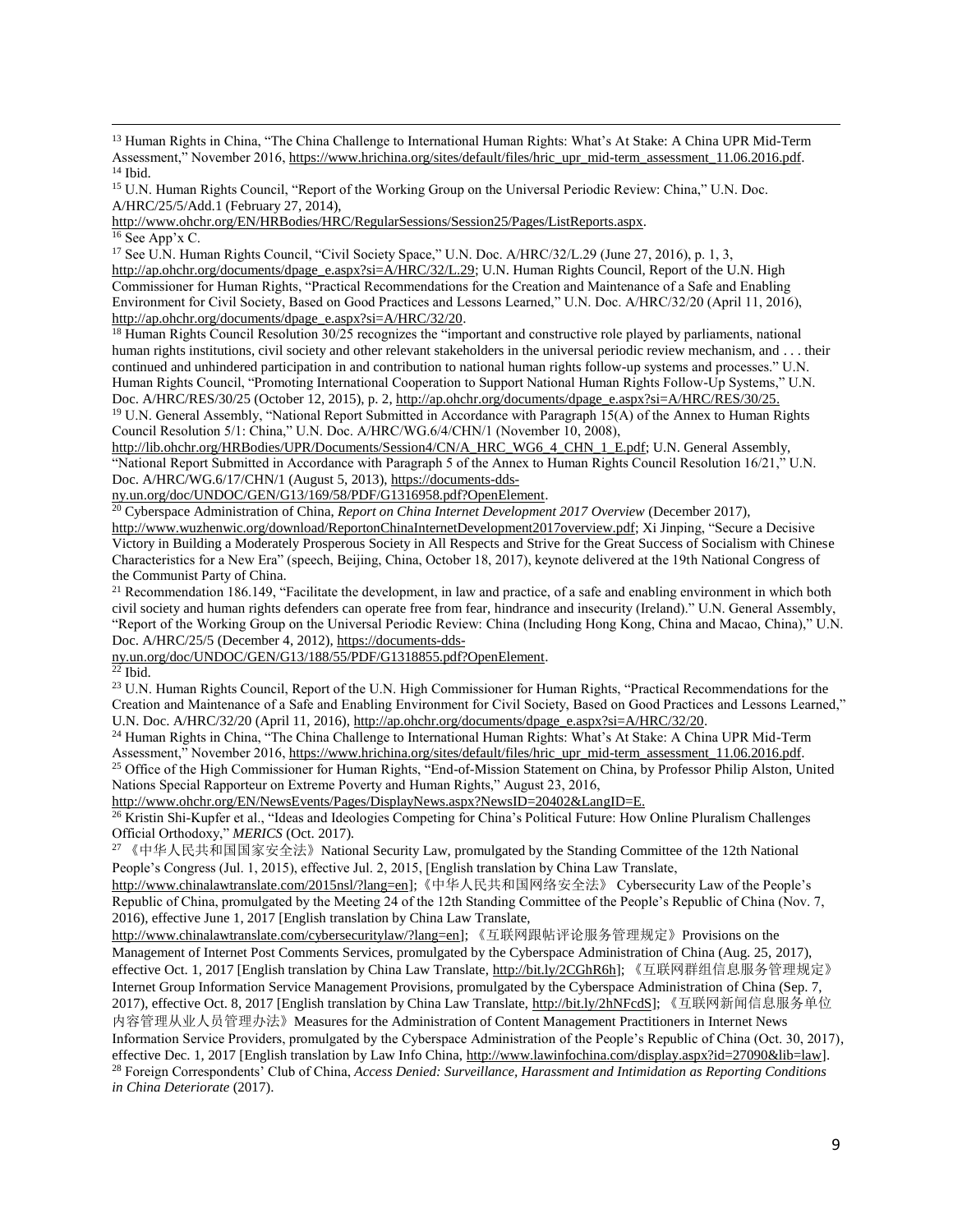<sup>13</sup> Human Rights in China, "The China Challenge to International Human Rights: What's At Stake: A China UPR Mid-Term Assessment," November 2016[, https://www.hrichina.org/sites/default/files/hric\\_upr\\_mid-term\\_assessment\\_11.06.2016.pdf.](https://www.hrichina.org/sites/default/files/hric_upr_mid-term_assessment_11.06.2016.pdf) <sup>14</sup> Ibid.

<sup>15</sup> U.N. Human Rights Council, "Report of the Working Group on the Universal Periodic Review: China," U.N. Doc. A/HRC/25/5/Add.1 (February 27, 2014),

[http://www.ohchr.org/EN/HRBodies/HRC/RegularSessions/Session25/Pages/ListReports.aspx.](http://www.ohchr.org/EN/HRBodies/HRC/RegularSessions/Session25/Pages/ListReports.aspx) <sup>16</sup> See App'x C.

<sup>17</sup> See U.N. Human Rights Council, "Civil Society Space," U.N. Doc. A/HRC/32/L.29 (June 27, 2016), p. 1, 3, [http://ap.ohchr.org/documents/dpage\\_e.aspx?si=A/HRC/32/L.29;](http://ap.ohchr.org/documents/dpage_e.aspx?si=A/HRC/32/L.29) U.N. Human Rights Council, Report of the U.N. High Commissioner for Human Rights, "Practical Recommendations for the Creation and Maintenance of a Safe and Enabling Environment for Civil Society, Based on Good Practices and Lessons Learned," U.N. Doc. A/HRC/32/20 (April 11, 2016), [http://ap.ohchr.org/documents/dpage\\_e.aspx?si=A/HRC/32/20.](http://ap.ohchr.org/documents/dpage_e.aspx?si=A/HRC/32/20)

<sup>18</sup> Human Rights Council Resolution 30/25 recognizes the "important and constructive role played by parliaments, national human rights institutions, civil society and other relevant stakeholders in the universal periodic review mechanism, and . . . their continued and unhindered participation in and contribution to national human rights follow-up systems and processes." U.N. Human Rights Council, "Promoting International Cooperation to Support National Human Rights Follow-Up Systems," U.N. Doc. A/HRC/RES/30/25 (October 12, 2015), p. 2[, http://ap.ohchr.org/documents/dpage\\_e.aspx?si=A/HRC/RES/30/25.](http://ap.ohchr.org/documents/dpage_e.aspx?si=A/HRC/RES/30/25) <sup>19</sup> U.N. General Assembly, "National Report Submitted in Accordance with Paragraph 15(A) of the Annex to Human Rights

Council Resolution 5/1: China," U.N. Doc. A/HRC/WG.6/4/CHN/1 (November 10, 2008),

[http://lib.ohchr.org/HRBodies/UPR/Documents/Session4/CN/A\\_HRC\\_WG6\\_4\\_CHN\\_1\\_E.pdf;](http://lib.ohchr.org/HRBodies/UPR/Documents/Session4/CN/A_HRC_WG6_4_CHN_1_E.pdf) U.N. General Assembly, "National Report Submitted in Accordance with Paragraph 5 of the Annex to Human Rights Council Resolution 16/21," U.N. Doc. A/HRC/WG.6/17/CHN/1 (August 5, 2013)[, https://documents-dds-](https://documents-dds-ny.un.org/doc/UNDOC/GEN/G13/169/58/PDF/G1316958.pdf?OpenElement)

[ny.un.org/doc/UNDOC/GEN/G13/169/58/PDF/G1316958.pdf?OpenElement.](https://documents-dds-ny.un.org/doc/UNDOC/GEN/G13/169/58/PDF/G1316958.pdf?OpenElement)

<sup>20</sup> Cyberspace Administration of China, *Report on China Internet Development 2017 Overview* (December 2017),

[http://www.wuzhenwic.org/download/ReportonChinaInternetDevelopment2017overview.pdf;](http://www.wuzhenwic.org/download/ReportonChinaInternetDevelopment2017overview.pdf) Xi Jinping, "Secure a Decisive Victory in Building a Moderately Prosperous Society in All Respects and Strive for the Great Success of Socialism with Chinese Characteristics for a New Era" (speech, Beijing, China, October 18, 2017), keynote delivered at the 19th National Congress of the Communist Party of China.

<sup>21</sup> Recommendation 186.149, "Facilitate the development, in law and practice, of a safe and enabling environment in which both civil society and human rights defenders can operate free from fear, hindrance and insecurity (Ireland)." U.N. General Assembly, "Report of the Working Group on the Universal Periodic Review: China (Including Hong Kong, China and Macao, China)," U.N. Doc. A/HRC/25/5 (December 4, 2012)[, https://documents-dds-](https://documents-dds-ny.un.org/doc/UNDOC/GEN/G13/188/55/PDF/G1318855.pdf?OpenElement)

[ny.un.org/doc/UNDOC/GEN/G13/188/55/PDF/G1318855.pdf?OpenElement.](https://documents-dds-ny.un.org/doc/UNDOC/GEN/G13/188/55/PDF/G1318855.pdf?OpenElement)

 $22$  Ibid.

 $\overline{a}$ 

<sup>23</sup> U.N. Human Rights Council, Report of the U.N. High Commissioner for Human Rights, "Practical Recommendations for the Creation and Maintenance of a Safe and Enabling Environment for Civil Society, Based on Good Practices and Lessons Learned," U.N. Doc. A/HRC/32/20 (April 11, 2016), [http://ap.ohchr.org/documents/dpage\\_e.aspx?si=A/HRC/32/20.](http://ap.ohchr.org/documents/dpage_e.aspx?si=A/HRC/32/20)

<sup>24</sup> Human Rights in China, "The China Challenge to International Human Rights: What's At Stake: A China UPR Mid-Term Assessment," November 2016[, https://www.hrichina.org/sites/default/files/hric\\_upr\\_mid-term\\_assessment\\_11.06.2016.pdf.](https://www.hrichina.org/sites/default/files/hric_upr_mid-term_assessment_11.06.2016.pdf) <sup>25</sup> Office of the High Commissioner for Human Rights, "End-of-Mission Statement on China, by Professor Philip Alston, United

Nations Special Rapporteur on Extreme Poverty and Human Rights," August 23, 2016,

[http://www.ohchr.org/EN/NewsEvents/Pages/DisplayNews.aspx?NewsID=20402&LangID=E.](http://www.ohchr.org/EN/NewsEvents/Pages/DisplayNews.aspx?NewsID=20402&LangID=E) 

<sup>26</sup> Kristin Shi-Kupfer et al., "Ideas and Ideologies Competing for China's Political Future: How Online Pluralism Challenges Official Orthodoxy," *MERICS* (Oct. 2017).

<sup>27</sup> 《中华人民共和国国家安全法》National Security Law, promulgated by the Standing Committee of the 12th National People's Congress (Jul. 1, 2015), effective Jul. 2, 2015, [English translation by China Law Translate,

[http://www.chinalawtranslate.com/2015nsl/?lang=en\]](http://www.chinalawtranslate.com/2015nsl/?lang=en);《中华人民共和国网络安全法》 Cybersecurity Law of the People's Republic of China, promulgated by the Meeting 24 of the 12th Standing Committee of the People's Republic of China (Nov. 7, 2016), effective June 1, 2017 [English translation by China Law Translate,

[http://www.chinalawtranslate.com/cybersecuritylaw/?lang=en\]](http://www.chinalawtranslate.com/cybersecuritylaw/?lang=en); 《互联网跟帖评论服务管理规定》Provisions on the Management of Internet Post Comments Services, promulgated by the Cyberspace Administration of China (Aug. 25, 2017), effective Oct. 1, 2017 [English translation by China Law Translate[, http://bit.ly/2CGhR6h\]](http://bit.ly/2CGhR6h); 《互联网群组信息服务管理规定》 Internet Group Information Service Management Provisions, promulgated by the Cyberspace Administration of China (Sep. 7, 2017), effective Oct. 8, 2017 [English translation by China Law Translate, [http://bit.ly/2hNFcdS\]](http://bit.ly/2hNFcdS); 《互联网新闻信息服务单位 内容管理从业人员管理办法》Measures for the Administration of Content Management Practitioners in Internet News Information Service Providers, promulgated by the Cyberspace Administration of the People's Republic of China (Oct. 30, 2017),

effective Dec. 1, 2017 [English translation by Law Info China[, http://www.lawinfochina.com/display.aspx?id=27090&lib=law\]](http://www.lawinfochina.com/display.aspx?id=27090&lib=law). <sup>28</sup> Foreign Correspondents' Club of China, *Access Denied: Surveillance, Harassment and Intimidation as Reporting Conditions in China Deteriorate* (2017).